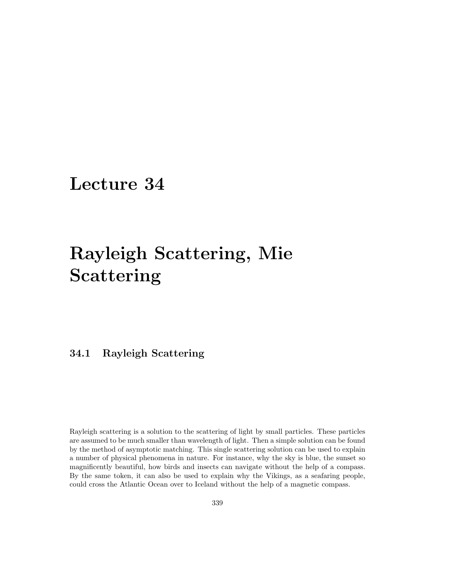# Lecture 34

# Rayleigh Scattering, Mie Scattering

# 34.1 Rayleigh Scattering

Rayleigh scattering is a solution to the scattering of light by small particles. These particles are assumed to be much smaller than wavelength of light. Then a simple solution can be found by the method of asymptotic matching. This single scattering solution can be used to explain a number of physical phenomena in nature. For instance, why the sky is blue, the sunset so magnificently beautiful, how birds and insects can navigate without the help of a compass. By the same token, it can also be used to explain why the Vikings, as a seafaring people, could cross the Atlantic Ocean over to Iceland without the help of a magnetic compass.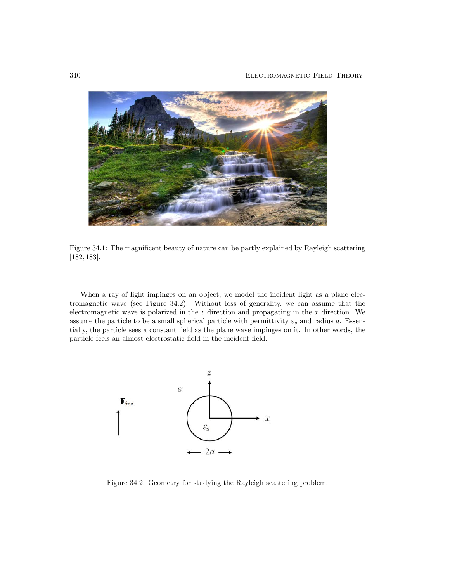

Figure 34.1: The magnificent beauty of nature can be partly explained by Rayleigh scattering [182, 183].

When a ray of light impinges on an object, we model the incident light as a plane electromagnetic wave (see Figure 34.2). Without loss of generality, we can assume that the electromagnetic wave is polarized in the  $z$  direction and propagating in the  $x$  direction. We assume the particle to be a small spherical particle with permittivity  $\varepsilon_s$  and radius a. Essentially, the particle sees a constant field as the plane wave impinges on it. In other words, the particle feels an almost electrostatic field in the incident field.



Figure 34.2: Geometry for studying the Rayleigh scattering problem.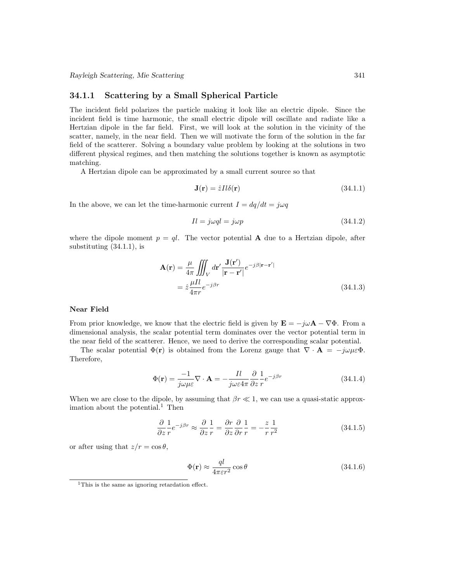#### 34.1.1 Scattering by a Small Spherical Particle

The incident field polarizes the particle making it look like an electric dipole. Since the incident field is time harmonic, the small electric dipole will oscillate and radiate like a Hertzian dipole in the far field. First, we will look at the solution in the vicinity of the scatter, namely, in the near field. Then we will motivate the form of the solution in the far field of the scatterer. Solving a boundary value problem by looking at the solutions in two different physical regimes, and then matching the solutions together is known as asymptotic matching.

A Hertzian dipole can be approximated by a small current source so that

$$
\mathbf{J}(\mathbf{r}) = \hat{z}Il\delta(\mathbf{r})\tag{34.1.1}
$$

In the above, we can let the time-harmonic current  $I = dq/dt = j\omega q$ 

$$
Il = j\omega ql = j\omega p \tag{34.1.2}
$$

where the dipole moment  $p = ql$ . The vector potential **A** due to a Hertzian dipole, after substituting (34.1.1), is

$$
\mathbf{A}(\mathbf{r}) = \frac{\mu}{4\pi} \iiint_V d\mathbf{r}' \frac{\mathbf{J}(\mathbf{r}')}{|\mathbf{r} - \mathbf{r}'|} e^{-j\beta |\mathbf{r} - \mathbf{r}'|}
$$

$$
= \hat{z} \frac{\mu I l}{4\pi r} e^{-j\beta r} \tag{34.1.3}
$$

#### Near Field

From prior knowledge, we know that the electric field is given by  $\mathbf{E} = -j\omega\mathbf{A} - \nabla\Phi$ . From a dimensional analysis, the scalar potential term dominates over the vector potential term in the near field of the scatterer. Hence, we need to derive the corresponding scalar potential.

The scalar potential  $\Phi(\mathbf{r})$  is obtained from the Lorenz gauge that  $\nabla \cdot \mathbf{A} = -j\omega\mu \varepsilon \Phi$ . Therefore,

$$
\Phi(\mathbf{r}) = \frac{-1}{j\omega\mu\varepsilon}\nabla \cdot \mathbf{A} = -\frac{Il}{j\omega\varepsilon 4\pi} \frac{\partial}{\partial z} \frac{1}{r} e^{-j\beta r}
$$
(34.1.4)

When we are close to the dipole, by assuming that  $\beta r \ll 1$ , we can use a quasi-static approximation about the potential. $1$  Then

$$
\frac{\partial}{\partial z}\frac{1}{r}e^{-j\beta r} \approx \frac{\partial}{\partial z}\frac{1}{r} = \frac{\partial r}{\partial z}\frac{\partial}{\partial r}\frac{1}{r} = -\frac{z}{r}\frac{1}{r^2}
$$
(34.1.5)

or after using that  $z/r = \cos \theta$ ,

$$
\Phi(\mathbf{r}) \approx \frac{ql}{4\pi\varepsilon r^2} \cos\theta \tag{34.1.6}
$$

<sup>&</sup>lt;sup>1</sup>This is the same as ignoring retardation effect.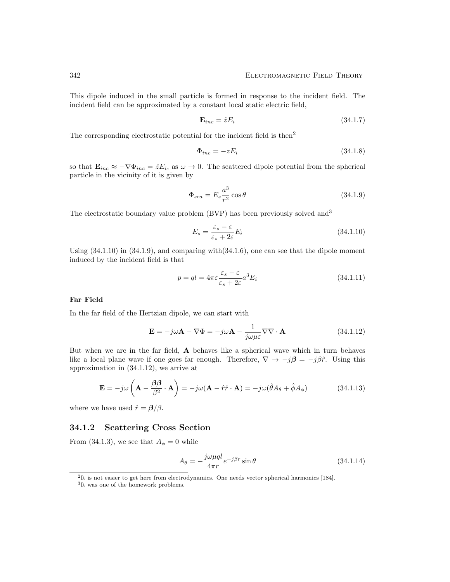This dipole induced in the small particle is formed in response to the incident field. The incident field can be approximated by a constant local static electric field,

$$
\mathbf{E}_{inc} = \hat{z} E_i \tag{34.1.7}
$$

The corresponding electrostatic potential for the incident field is then<sup>2</sup>

$$
\Phi_{inc} = -zE_i \tag{34.1.8}
$$

so that  $\mathbf{E}_{inc} \approx -\nabla \Phi_{inc} = \hat{z} E_i$ , as  $\omega \to 0$ . The scattered dipole potential from the spherical particle in the vicinity of it is given by

$$
\Phi_{sca} = E_s \frac{a^3}{r^2} \cos \theta \tag{34.1.9}
$$

The electrostatic boundary value problem (BVP) has been previously solved and<sup>3</sup>

$$
E_s = \frac{\varepsilon_s - \varepsilon}{\varepsilon_s + 2\varepsilon} E_i \tag{34.1.10}
$$

Using (34.1.10) in (34.1.9), and comparing with(34.1.6), one can see that the dipole moment induced by the incident field is that

$$
p = ql = 4\pi\varepsilon \frac{\varepsilon_s - \varepsilon}{\varepsilon_s + 2\varepsilon} a^3 E_i
$$
\n(34.1.11)

#### Far Field

In the far field of the Hertzian dipole, we can start with

$$
\mathbf{E} = -j\omega \mathbf{A} - \nabla \Phi = -j\omega \mathbf{A} - \frac{1}{j\omega \mu \varepsilon} \nabla \nabla \cdot \mathbf{A}
$$
 (34.1.12)

But when we are in the far field, A behaves like a spherical wave which in turn behaves like a local plane wave if one goes far enough. Therefore,  $\nabla \to -j\beta = -j\beta \hat{r}$ . Using this approximation in (34.1.12), we arrive at

$$
\mathbf{E} = -j\omega \left( \mathbf{A} - \frac{\beta \beta}{\beta^2} \cdot \mathbf{A} \right) = -j\omega (\mathbf{A} - \hat{r}\hat{r} \cdot \mathbf{A}) = -j\omega (\hat{\theta} A_{\theta} + \hat{\phi} A_{\phi})
$$
(34.1.13)

where we have used  $\hat{r} = \beta/\beta$ .

#### 34.1.2 Scattering Cross Section

From (34.1.3), we see that  $A_{\phi} = 0$  while

$$
A_{\theta} = -\frac{j\omega\mu q l}{4\pi r}e^{-j\beta r}\sin\theta\tag{34.1.14}
$$

<sup>2</sup> It is not easier to get here from electrodynamics. One needs vector spherical harmonics [184].

<sup>3</sup> It was one of the homework problems.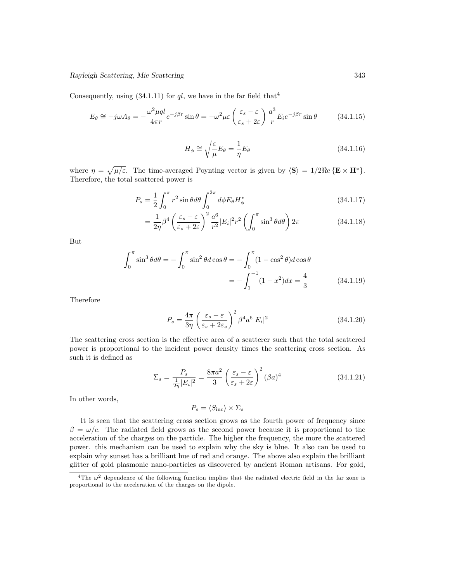Consequently, using  $(34.1.11)$  for ql, we have in the far field that<sup>4</sup>

$$
E_{\theta} \cong -j\omega A_{\theta} = -\frac{\omega^2 \mu q l}{4\pi r} e^{-j\beta r} \sin \theta = -\omega^2 \mu \varepsilon \left(\frac{\varepsilon_s - \varepsilon}{\varepsilon_s + 2\varepsilon}\right) \frac{a^3}{r} E_i e^{-j\beta r} \sin \theta \tag{34.1.15}
$$

$$
H_{\phi} \cong \sqrt{\frac{\varepsilon}{\mu}} E_{\theta} = \frac{1}{\eta} E_{\theta}
$$
\n(34.1.16)

where  $\eta = \sqrt{\mu/\varepsilon}$ . The time-averaged Poynting vector is given by  $\langle S \rangle = 1/2 \Re e \{E \times H^*\}.$ Therefore, the total scattered power is

$$
P_s = \frac{1}{2} \int_0^{\pi} r^2 \sin \theta d\theta \int_0^{2\pi} d\phi E_{\theta} H_{\phi}^*
$$
 (34.1.17)

$$
= \frac{1}{2\eta} \beta^4 \left(\frac{\varepsilon_s - \varepsilon}{\varepsilon_s + 2\varepsilon}\right)^2 \frac{a^6}{r^2} |E_i|^2 r^2 \left(\int_0^\pi \sin^3 \theta d\theta\right) 2\pi
$$
 (34.1.18)

But

$$
\int_0^{\pi} \sin^3 \theta d\theta = -\int_0^{\pi} \sin^2 \theta d \cos \theta = -\int_0^{\pi} (1 - \cos^2 \theta) d \cos \theta
$$

$$
= -\int_1^{-1} (1 - x^2) dx = \frac{4}{3} \tag{34.1.19}
$$

Therefore

$$
P_s = \frac{4\pi}{3\eta} \left(\frac{\varepsilon_s - \varepsilon}{\varepsilon_s + 2\varepsilon_s}\right)^2 \beta^4 a^6 |E_i|^2
$$
 (34.1.20)

The scattering cross section is the effective area of a scatterer such that the total scattered power is proportional to the incident power density times the scattering cross section. As such it is defined as

$$
\Sigma_s = \frac{P_s}{\frac{1}{2\eta}|E_i|^2} = \frac{8\pi a^2}{3} \left(\frac{\varepsilon_s - \varepsilon}{\varepsilon_s + 2\varepsilon}\right)^2 (\beta a)^4 \tag{34.1.21}
$$

In other words,

$$
P_s = \langle S_{\rm inc} \rangle \times \Sigma_s
$$

It is seen that the scattering cross section grows as the fourth power of frequency since  $\beta = \omega/c$ . The radiated field grows as the second power because it is proportional to the acceleration of the charges on the particle. The higher the frequency, the more the scattered power. this mechanism can be used to explain why the sky is blue. It also can be used to explain why sunset has a brilliant hue of red and orange. The above also explain the brilliant glitter of gold plasmonic nano-particles as discovered by ancient Roman artisans. For gold,

<sup>&</sup>lt;sup>4</sup>The  $\omega^2$  dependence of the following function implies that the radiated electric field in the far zone is proportional to the acceleration of the charges on the dipole.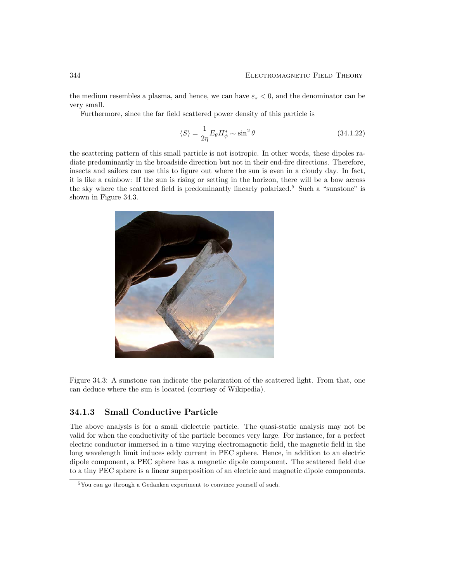the medium resembles a plasma, and hence, we can have  $\varepsilon_s < 0$ , and the denominator can be very small.

Furthermore, since the far field scattered power density of this particle is

$$
\langle S \rangle = \frac{1}{2\eta} E_{\theta} H_{\phi}^* \sim \sin^2 \theta \tag{34.1.22}
$$

the scattering pattern of this small particle is not isotropic. In other words, these dipoles radiate predominantly in the broadside direction but not in their end-fire directions. Therefore, insects and sailors can use this to figure out where the sun is even in a cloudy day. In fact, it is like a rainbow: If the sun is rising or setting in the horizon, there will be a bow across the sky where the scattered field is predominantly linearly polarized.<sup>5</sup> Such a "sunstone" is shown in Figure 34.3.



Figure 34.3: A sunstone can indicate the polarization of the scattered light. From that, one can deduce where the sun is located (courtesy of Wikipedia).

## 34.1.3 Small Conductive Particle

The above analysis is for a small dielectric particle. The quasi-static analysis may not be valid for when the conductivity of the particle becomes very large. For instance, for a perfect electric conductor immersed in a time varying electromagnetic field, the magnetic field in the long wavelength limit induces eddy current in PEC sphere. Hence, in addition to an electric dipole component, a PEC sphere has a magnetic dipole component. The scattered field due to a tiny PEC sphere is a linear superposition of an electric and magnetic dipole components.

<sup>5</sup>You can go through a Gedanken experiment to convince yourself of such.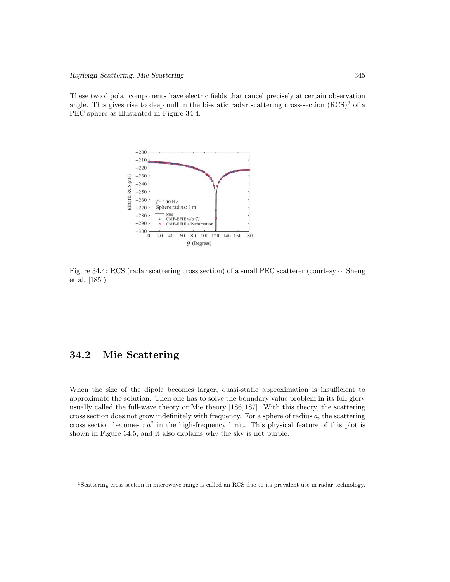These two dipolar components have electric fields that cancel precisely at certain observation angle. This gives rise to deep null in the bi-static radar scattering cross-section  $(RCS)^6$  of a PEC sphere as illustrated in Figure 34.4.



Figure 34.4: RCS (radar scattering cross section) of a small PEC scatterer (courtesy of Sheng et al. [185]).

## 34.2 Mie Scattering

When the size of the dipole becomes larger, quasi-static approximation is insufficient to approximate the solution. Then one has to solve the boundary value problem in its full glory usually called the full-wave theory or Mie theory [186, 187]. With this theory, the scattering cross section does not grow indefinitely with frequency. For a sphere of radius  $a$ , the scattering cross section becomes  $\pi a^2$  in the high-frequency limit. This physical feature of this plot is shown in Figure 34.5, and it also explains why the sky is not purple.

<sup>6</sup>Scattering cross section in microwave range is called an RCS due to its prevalent use in radar technology.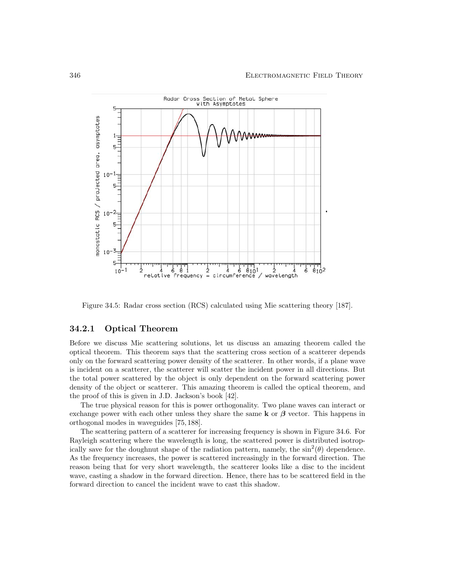

Figure 34.5: Radar cross section (RCS) calculated using Mie scattering theory [187].

## 34.2.1 Optical Theorem

Before we discuss Mie scattering solutions, let us discuss an amazing theorem called the optical theorem. This theorem says that the scattering cross section of a scatterer depends only on the forward scattering power density of the scatterer. In other words, if a plane wave is incident on a scatterer, the scatterer will scatter the incident power in all directions. But the total power scattered by the object is only dependent on the forward scattering power density of the object or scatterer. This amazing theorem is called the optical theorem, and the proof of this is given in J.D. Jackson's book [42].

The true physical reason for this is power orthogonality. Two plane waves can interact or exchange power with each other unless they share the same  $\bf{k}$  or  $\boldsymbol{\beta}$  vector. This happens in orthogonal modes in waveguides [75, 188].

The scattering pattern of a scatterer for increasing frequency is shown in Figure 34.6. For Rayleigh scattering where the wavelength is long, the scattered power is distributed isotropically save for the doughnut shape of the radiation pattern, namely, the  $\sin^2(\theta)$  dependence. As the frequency increases, the power is scattered increasingly in the forward direction. The reason being that for very short wavelength, the scatterer looks like a disc to the incident wave, casting a shadow in the forward direction. Hence, there has to be scattered field in the forward direction to cancel the incident wave to cast this shadow.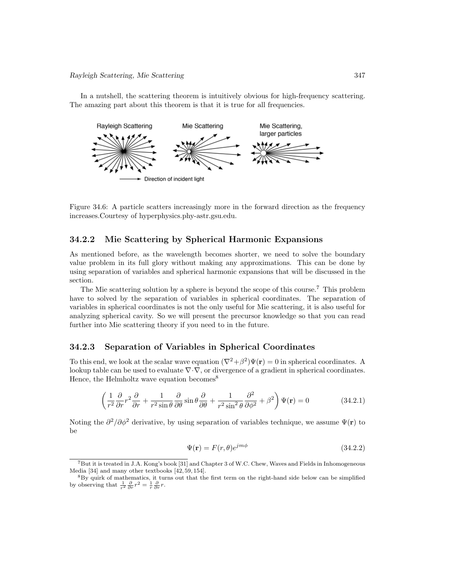In a nutshell, the scattering theorem is intuitively obvious for high-frequency scattering. The amazing part about this theorem is that it is true for all frequencies.



Figure 34.6: A particle scatters increasingly more in the forward direction as the frequency increases.Courtesy of hyperphysics.phy-astr.gsu.edu.

## 34.2.2 Mie Scattering by Spherical Harmonic Expansions

As mentioned before, as the wavelength becomes shorter, we need to solve the boundary value problem in its full glory without making any approximations. This can be done by using separation of variables and spherical harmonic expansions that will be discussed in the section.

The Mie scattering solution by a sphere is beyond the scope of this course.<sup>7</sup> This problem have to solved by the separation of variables in spherical coordinates. The separation of variables in spherical coordinates is not the only useful for Mie scattering, it is also useful for analyzing spherical cavity. So we will present the precursor knowledge so that you can read further into Mie scattering theory if you need to in the future.

## 34.2.3 Separation of Variables in Spherical Coordinates

To this end, we look at the scalar wave equation  $(\nabla^2 + \beta^2)\Psi(\mathbf{r}) = 0$  in spherical coordinates. A lookup table can be used to evaluate  $\nabla \cdot \nabla$ , or divergence of a gradient in spherical coordinates. Hence, the Helmholtz wave equation becomes  $8$ 

$$
\left(\frac{1}{r^2}\frac{\partial}{\partial r}r^2\frac{\partial}{\partial r} + \frac{1}{r^2\sin\theta}\frac{\partial}{\partial \theta}\sin\theta\frac{\partial}{\partial \theta} + \frac{1}{r^2\sin^2\theta}\frac{\partial^2}{\partial \phi^2} + \beta^2\right)\Psi(\mathbf{r}) = 0\tag{34.2.1}
$$

Noting the  $\partial^2/\partial \phi^2$  derivative, by using separation of variables technique, we assume  $\Psi(\mathbf{r})$  to be

$$
\Psi(\mathbf{r}) = F(r,\theta)e^{jm\phi} \tag{34.2.2}
$$

 $7B$ ut it is treated in J.A. Kong's book [31] and Chapter 3 of W.C. Chew, Waves and Fields in Inhomogeneous Media [34] and many other textbooks [42, 59, 154].

<sup>8</sup>By quirk of mathematics, it turns out that the first term on the right-hand side below can be simplified by observing that  $\frac{1}{r^2} \frac{\partial}{\partial r} r^2 = \frac{1}{r} \frac{\partial}{\partial r} r$ .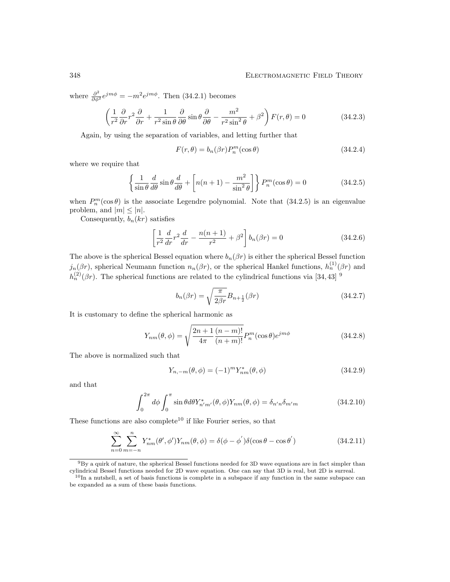where  $\frac{\partial^2}{\partial \phi^2} e^{jm\phi} = -m^2 e^{jm\phi}$ . Then (34.2.1) becomes

$$
\left(\frac{1}{r^2}\frac{\partial}{\partial r}r^2\frac{\partial}{\partial r} + \frac{1}{r^2\sin\theta}\frac{\partial}{\partial \theta}\sin\theta\frac{\partial}{\partial \theta} - \frac{m^2}{r^2\sin^2\theta} + \beta^2\right)F(r,\theta) = 0
$$
\n(34.2.3)

Again, by using the separation of variables, and letting further that

$$
F(r,\theta) = b_n(\beta r) P_n^m(\cos \theta)
$$
\n(34.2.4)

where we require that

$$
\left\{\frac{1}{\sin\theta}\frac{d}{d\theta}\sin\theta\frac{d}{d\theta} + \left[n(n+1) - \frac{m^2}{\sin^2\theta}\right]\right\}P_n^m(\cos\theta) = 0\tag{34.2.5}
$$

when  $P_n^m(\cos\theta)$  is the associate Legendre polynomial. Note that  $(34.2.5)$  is an eigenvalue problem, and  $|m| \leq |n|$ .

Consequently,  $b_n(kr)$  satisfies

$$
\left[\frac{1}{r^2}\frac{d}{dr}r^2\frac{d}{dr} - \frac{n(n+1)}{r^2} + \beta^2\right]b_n(\beta r) = 0\tag{34.2.6}
$$

The above is the spherical Bessel equation where  $b_n(\beta r)$  is either the spherical Bessel function  $j_n(\beta r)$ , spherical Neumann function  $n_n(\beta r)$ , or the spherical Hankel functions,  $h_n^{(1)}(\beta r)$  and  $h_n^{(2)}(\beta r)$ . The spherical functions are related to the cylindrical functions via [34, 43] <sup>9</sup>

$$
b_n(\beta r) = \sqrt{\frac{\pi}{2\beta r}} B_{n+\frac{1}{2}}(\beta r) \tag{34.2.7}
$$

It is customary to define the spherical harmonic as

$$
Y_{nm}(\theta,\phi) = \sqrt{\frac{2n+1}{4\pi} \frac{(n-m)!}{(n+m)!}} P_n^m(\cos\theta)e^{jm\phi}
$$
 (34.2.8)

The above is normalized such that

$$
Y_{n,-m}(\theta,\phi) = (-1)^m Y_{nm}^*(\theta,\phi)
$$
\n(34.2.9)

and that

$$
\int_0^{2\pi} d\phi \int_0^{\pi} \sin\theta d\theta Y_{n'm'}^*(\theta, \phi) Y_{nm}(\theta, \phi) = \delta_{n'n} \delta_{m'm}
$$
\n(34.2.10)

These functions are also complete<sup>10</sup> if like Fourier series, so that

$$
\sum_{n=0}^{\infty} \sum_{m=-n}^{n} Y_{nm}^*(\theta', \phi') Y_{nm}(\theta, \phi) = \delta(\phi - \phi') \delta(\cos \theta - \cos \theta')
$$
 (34.2.11)

 $9By$  a quirk of nature, the spherical Bessel functions needed for 3D wave equations are in fact simpler than cylindrical Bessel functions needed for 2D wave equation. One can say that 3D is real, but 2D is surreal.

 $10$ In a nutshell, a set of basis functions is complete in a subspace if any function in the same subspace can be expanded as a sum of these basis functions.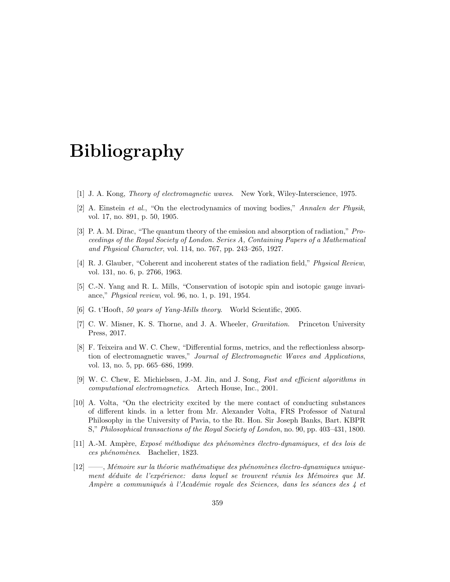# Bibliography

- [1] J. A. Kong, Theory of electromagnetic waves. New York, Wiley-Interscience, 1975.
- [2] A. Einstein et al., "On the electrodynamics of moving bodies," Annalen der Physik, vol. 17, no. 891, p. 50, 1905.
- [3] P. A. M. Dirac, "The quantum theory of the emission and absorption of radiation," Proceedings of the Royal Society of London. Series A, Containing Papers of a Mathematical and Physical Character, vol. 114, no. 767, pp. 243–265, 1927.
- [4] R. J. Glauber, "Coherent and incoherent states of the radiation field," Physical Review, vol. 131, no. 6, p. 2766, 1963.
- [5] C.-N. Yang and R. L. Mills, "Conservation of isotopic spin and isotopic gauge invariance," Physical review, vol. 96, no. 1, p. 191, 1954.
- [6] G. t'Hooft, 50 years of Yang-Mills theory. World Scientific, 2005.
- [7] C. W. Misner, K. S. Thorne, and J. A. Wheeler, Gravitation. Princeton University Press, 2017.
- [8] F. Teixeira and W. C. Chew, "Differential forms, metrics, and the reflectionless absorption of electromagnetic waves," Journal of Electromagnetic Waves and Applications, vol. 13, no. 5, pp. 665–686, 1999.
- [9] W. C. Chew, E. Michielssen, J.-M. Jin, and J. Song, Fast and efficient algorithms in computational electromagnetics. Artech House, Inc., 2001.
- [10] A. Volta, "On the electricity excited by the mere contact of conducting substances of different kinds. in a letter from Mr. Alexander Volta, FRS Professor of Natural Philosophy in the University of Pavia, to the Rt. Hon. Sir Joseph Banks, Bart. KBPR S," Philosophical transactions of the Royal Society of London, no. 90, pp. 403–431, 1800.
- [11] A.-M. Ampère, *Exposé méthodique des phénomènes électro-dynamiques, et des lois de* ces phénomènes. Bachelier, 1823.
- $[12]$  ——, Mémoire sur la théorie mathématique des phénomènes électro-dynamiques uniquement déduite de l'expérience: dans lequel se trouvent réunis les Mémoires que M. Ampère a communiqués à l'Académie royale des Sciences, dans les séances des  $\downarrow$  et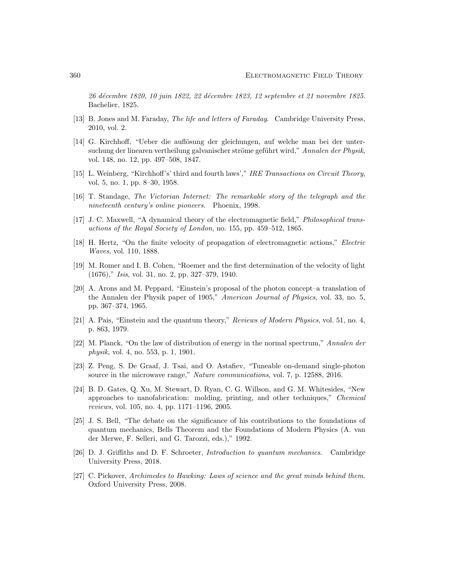26 d´ecembre 1820, 10 juin 1822, 22 d´ecembre 1823, 12 septembre et 21 novembre 1825. Bachelier, 1825.

- [13] B. Jones and M. Faraday, The life and letters of Faraday. Cambridge University Press, 2010, vol. 2.
- [14] G. Kirchhoff, "Ueber die auflösung der gleichungen, auf welche man bei der untersuchung der linearen vertheilung galvanischer ströme geführt wird," Annalen der Physik, vol. 148, no. 12, pp. 497–508, 1847.
- [15] L. Weinberg, "Kirchhoff's' third and fourth laws'," IRE Transactions on Circuit Theory, vol. 5, no. 1, pp. 8–30, 1958.
- [16] T. Standage, The Victorian Internet: The remarkable story of the telegraph and the nineteenth century's online pioneers. Phoenix, 1998.
- [17] J. C. Maxwell, "A dynamical theory of the electromagnetic field," Philosophical transactions of the Royal Society of London, no. 155, pp. 459–512, 1865.
- [18] H. Hertz, "On the finite velocity of propagation of electromagnetic actions," Electric Waves, vol. 110, 1888.
- [19] M. Romer and I. B. Cohen, "Roemer and the first determination of the velocity of light (1676)," Isis, vol. 31, no. 2, pp. 327–379, 1940.
- [20] A. Arons and M. Peppard, "Einstein's proposal of the photon concept–a translation of the Annalen der Physik paper of 1905," American Journal of Physics, vol. 33, no. 5, pp. 367–374, 1965.
- [21] A. Pais, "Einstein and the quantum theory," Reviews of Modern Physics, vol. 51, no. 4, p. 863, 1979.
- [22] M. Planck, "On the law of distribution of energy in the normal spectrum," Annalen der physik, vol. 4, no. 553, p. 1, 1901.
- [23] Z. Peng, S. De Graaf, J. Tsai, and O. Astafiev, "Tuneable on-demand single-photon source in the microwave range," Nature communications, vol. 7, p. 12588, 2016.
- [24] B. D. Gates, Q. Xu, M. Stewart, D. Ryan, C. G. Willson, and G. M. Whitesides, "New approaches to nanofabrication: molding, printing, and other techniques," Chemical reviews, vol. 105, no. 4, pp. 1171–1196, 2005.
- [25] J. S. Bell, "The debate on the significance of his contributions to the foundations of quantum mechanics, Bells Theorem and the Foundations of Modern Physics (A. van der Merwe, F. Selleri, and G. Tarozzi, eds.)," 1992.
- [26] D. J. Griffiths and D. F. Schroeter, Introduction to quantum mechanics. Cambridge University Press, 2018.
- [27] C. Pickover, Archimedes to Hawking: Laws of science and the great minds behind them. Oxford University Press, 2008.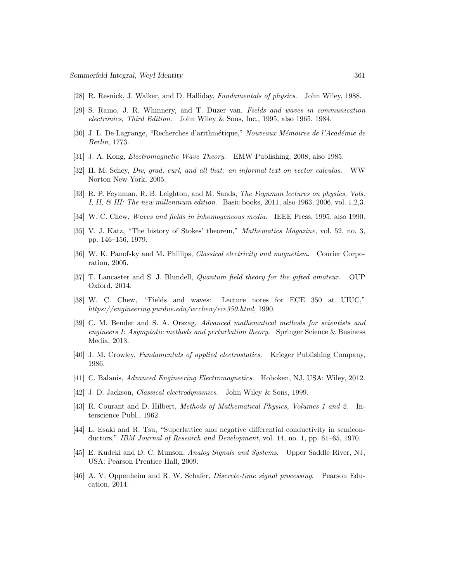- [28] R. Resnick, J. Walker, and D. Halliday, Fundamentals of physics. John Wiley, 1988.
- [29] S. Ramo, J. R. Whinnery, and T. Duzer van, Fields and waves in communication electronics, Third Edition. John Wiley & Sons, Inc., 1995, also 1965, 1984.
- [30] J. L. De Lagrange, "Recherches d'arithmétique," Nouveaux Mémoires de l'Académie de Berlin, 1773.
- [31] J. A. Kong, Electromagnetic Wave Theory. EMW Publishing, 2008, also 1985.
- [32] H. M. Schey, Div, grad, curl, and all that: an informal text on vector calculus. WW Norton New York, 2005.
- [33] R. P. Feynman, R. B. Leighton, and M. Sands, The Feynman lectures on physics, Vols. I, II,  $\&$  III: The new millennium edition. Basic books, 2011, also 1963, 2006, vol. 1,2,3.
- [34] W. C. Chew, Waves and fields in inhomogeneous media. IEEE Press, 1995, also 1990.
- [35] V. J. Katz, "The history of Stokes' theorem," Mathematics Magazine, vol. 52, no. 3, pp. 146–156, 1979.
- [36] W. K. Panofsky and M. Phillips, *Classical electricity and magnetism*. Courier Corporation, 2005.
- [37] T. Lancaster and S. J. Blundell, Quantum field theory for the gifted amateur. OUP Oxford, 2014.
- [38] W. C. Chew, "Fields and waves: Lecture notes for ECE 350 at UIUC," https://engineering.purdue.edu/wcchew/ece350.html, 1990.
- [39] C. M. Bender and S. A. Orszag, Advanced mathematical methods for scientists and engineers I: Asymptotic methods and perturbation theory. Springer Science & Business Media, 2013.
- [40] J. M. Crowley, Fundamentals of applied electrostatics. Krieger Publishing Company, 1986.
- [41] C. Balanis, Advanced Engineering Electromagnetics. Hoboken, NJ, USA: Wiley, 2012.
- [42] J. D. Jackson, *Classical electrodynamics*. John Wiley & Sons, 1999.
- [43] R. Courant and D. Hilbert, Methods of Mathematical Physics, Volumes 1 and 2. Interscience Publ., 1962.
- [44] L. Esaki and R. Tsu, "Superlattice and negative differential conductivity in semiconductors," IBM Journal of Research and Development, vol. 14, no. 1, pp. 61–65, 1970.
- [45] E. Kudeki and D. C. Munson, Analog Signals and Systems. Upper Saddle River, NJ, USA: Pearson Prentice Hall, 2009.
- [46] A. V. Oppenheim and R. W. Schafer, Discrete-time signal processing. Pearson Education, 2014.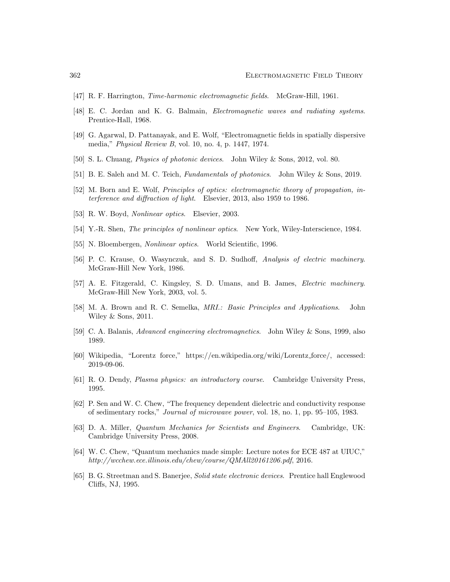- [47] R. F. Harrington, Time-harmonic electromagnetic fields. McGraw-Hill, 1961.
- [48] E. C. Jordan and K. G. Balmain, Electromagnetic waves and radiating systems. Prentice-Hall, 1968.
- [49] G. Agarwal, D. Pattanayak, and E. Wolf, "Electromagnetic fields in spatially dispersive media," Physical Review B, vol. 10, no. 4, p. 1447, 1974.
- [50] S. L. Chuang, Physics of photonic devices. John Wiley & Sons, 2012, vol. 80.
- [51] B. E. Saleh and M. C. Teich, Fundamentals of photonics. John Wiley & Sons, 2019.
- [52] M. Born and E. Wolf, Principles of optics: electromagnetic theory of propagation, interference and diffraction of light. Elsevier, 2013, also 1959 to 1986.
- [53] R. W. Boyd, Nonlinear optics. Elsevier, 2003.
- [54] Y.-R. Shen, The principles of nonlinear optics. New York, Wiley-Interscience, 1984.
- [55] N. Bloembergen, Nonlinear optics. World Scientific, 1996.
- [56] P. C. Krause, O. Wasynczuk, and S. D. Sudhoff, Analysis of electric machinery. McGraw-Hill New York, 1986.
- [57] A. E. Fitzgerald, C. Kingsley, S. D. Umans, and B. James, Electric machinery. McGraw-Hill New York, 2003, vol. 5.
- [58] M. A. Brown and R. C. Semelka, MRI.: Basic Principles and Applications. John Wiley & Sons, 2011.
- [59] C. A. Balanis, Advanced engineering electromagnetics. John Wiley & Sons, 1999, also 1989.
- [60] Wikipedia, "Lorentz force," https://en.wikipedia.org/wiki/Lorentz force/, accessed: 2019-09-06.
- [61] R. O. Dendy, Plasma physics: an introductory course. Cambridge University Press, 1995.
- [62] P. Sen and W. C. Chew, "The frequency dependent dielectric and conductivity response of sedimentary rocks," Journal of microwave power, vol. 18, no. 1, pp. 95–105, 1983.
- [63] D. A. Miller, Quantum Mechanics for Scientists and Engineers. Cambridge, UK: Cambridge University Press, 2008.
- [64] W. C. Chew, "Quantum mechanics made simple: Lecture notes for ECE 487 at UIUC," http://wcchew.ece.illinois.edu/chew/course/QMAll20161206.pdf, 2016.
- [65] B. G. Streetman and S. Banerjee, Solid state electronic devices. Prentice hall Englewood Cliffs, NJ, 1995.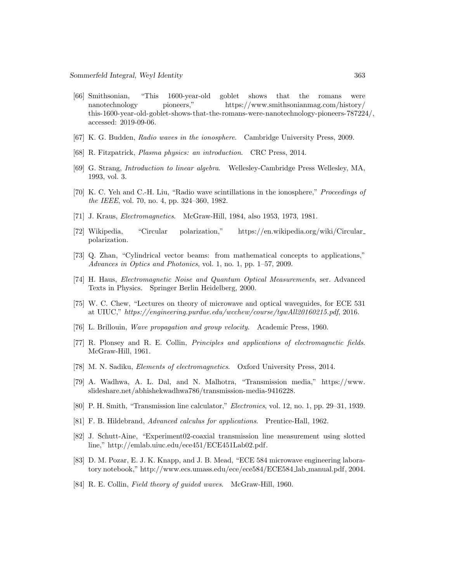- [66] Smithsonian, "This 1600-year-old goblet shows that the romans were nanotechnology pioneers," https://www.smithsonianmag.com/history/ this-1600-year-old-goblet-shows-that-the-romans-were-nanotechnology-pioneers-787224/, accessed: 2019-09-06.
- [67] K. G. Budden, Radio waves in the ionosphere. Cambridge University Press, 2009.
- [68] R. Fitzpatrick, Plasma physics: an introduction. CRC Press, 2014.
- [69] G. Strang, Introduction to linear algebra. Wellesley-Cambridge Press Wellesley, MA, 1993, vol. 3.
- [70] K. C. Yeh and C.-H. Liu, "Radio wave scintillations in the ionosphere," Proceedings of the IEEE, vol. 70, no. 4, pp. 324–360, 1982.
- [71] J. Kraus, Electromagnetics. McGraw-Hill, 1984, also 1953, 1973, 1981.
- [72] Wikipedia, "Circular polarization," https://en.wikipedia.org/wiki/Circular polarization.
- [73] Q. Zhan, "Cylindrical vector beams: from mathematical concepts to applications," Advances in Optics and Photonics, vol. 1, no. 1, pp. 1–57, 2009.
- [74] H. Haus, Electromagnetic Noise and Quantum Optical Measurements, ser. Advanced Texts in Physics. Springer Berlin Heidelberg, 2000.
- [75] W. C. Chew, "Lectures on theory of microwave and optical waveguides, for ECE 531 at UIUC," https://engineering.purdue.edu/wcchew/course/tgwAll20160215.pdf, 2016.
- [76] L. Brillouin, Wave propagation and group velocity. Academic Press, 1960.
- [77] R. Plonsey and R. E. Collin, Principles and applications of electromagnetic fields. McGraw-Hill, 1961.
- [78] M. N. Sadiku, Elements of electromagnetics. Oxford University Press, 2014.
- [79] A. Wadhwa, A. L. Dal, and N. Malhotra, "Transmission media," https://www. slideshare.net/abhishekwadhwa786/transmission-media-9416228.
- [80] P. H. Smith, "Transmission line calculator," Electronics, vol. 12, no. 1, pp. 29–31, 1939.
- [81] F. B. Hildebrand, Advanced calculus for applications. Prentice-Hall, 1962.
- [82] J. Schutt-Aine, "Experiment02-coaxial transmission line measurement using slotted line," http://emlab.uiuc.edu/ece451/ECE451Lab02.pdf.
- [83] D. M. Pozar, E. J. K. Knapp, and J. B. Mead, "ECE 584 microwave engineering laboratory notebook," http://www.ecs.umass.edu/ece/ece584/ECE584 lab manual.pdf, 2004.
- [84] R. E. Collin, Field theory of guided waves. McGraw-Hill, 1960.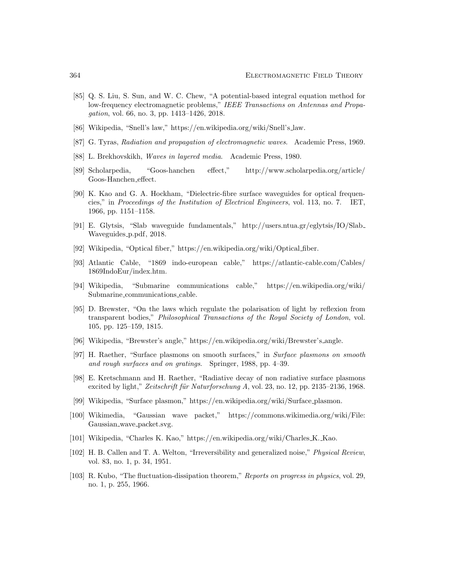- [85] Q. S. Liu, S. Sun, and W. C. Chew, "A potential-based integral equation method for low-frequency electromagnetic problems," IEEE Transactions on Antennas and Propagation, vol. 66, no. 3, pp. 1413–1426, 2018.
- [86] Wikipedia, "Snell's law," https://en.wikipedia.org/wiki/Snell's law.
- [87] G. Tyras, Radiation and propagation of electromagnetic waves. Academic Press, 1969.
- [88] L. Brekhovskikh, Waves in layered media. Academic Press, 1980.
- [89] Scholarpedia, "Goos-hanchen effect," http://www.scholarpedia.org/article/ Goos-Hanchen effect.
- [90] K. Kao and G. A. Hockham, "Dielectric-fibre surface waveguides for optical frequencies," in Proceedings of the Institution of Electrical Engineers, vol. 113, no. 7. IET, 1966, pp. 1151–1158.
- [91] E. Glytsis, "Slab waveguide fundamentals," http://users.ntua.gr/eglytsis/IO/Slab Waveguides\_p.pdf, 2018.
- [92] Wikipedia, "Optical fiber," https://en.wikipedia.org/wiki/Optical fiber.
- [93] Atlantic Cable, "1869 indo-european cable," https://atlantic-cable.com/Cables/ 1869IndoEur/index.htm.
- [94] Wikipedia, "Submarine communications cable," https://en.wikipedia.org/wiki/ Submarine communications cable.
- [95] D. Brewster, "On the laws which regulate the polarisation of light by reflexion from transparent bodies," Philosophical Transactions of the Royal Society of London, vol. 105, pp. 125–159, 1815.
- [96] Wikipedia, "Brewster's angle," https://en.wikipedia.org/wiki/Brewster's angle.
- [97] H. Raether, "Surface plasmons on smooth surfaces," in Surface plasmons on smooth and rough surfaces and on gratings. Springer, 1988, pp. 4–39.
- [98] E. Kretschmann and H. Raether, "Radiative decay of non radiative surface plasmons excited by light," Zeitschrift für Naturforschung A, vol. 23, no. 12, pp. 2135–2136, 1968.
- [99] Wikipedia, "Surface plasmon," https://en.wikipedia.org/wiki/Surface plasmon.
- [100] Wikimedia, "Gaussian wave packet," https://commons.wikimedia.org/wiki/File: Gaussian wave packet.svg.
- [101] Wikipedia, "Charles K. Kao," https://en.wikipedia.org/wiki/Charles K. Kao.
- [102] H. B. Callen and T. A. Welton, "Irreversibility and generalized noise," Physical Review, vol. 83, no. 1, p. 34, 1951.
- [103] R. Kubo, "The fluctuation-dissipation theorem," Reports on progress in physics, vol. 29, no. 1, p. 255, 1966.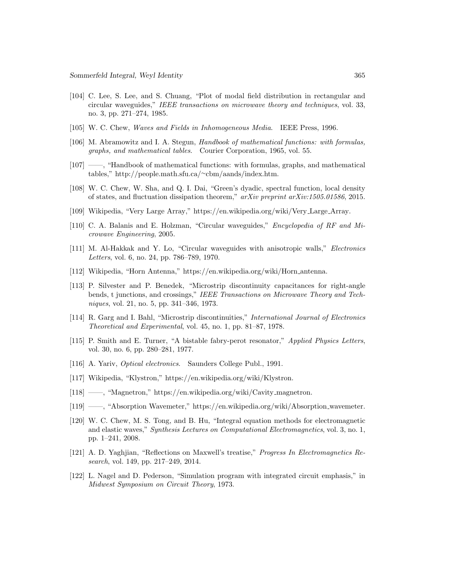- [104] C. Lee, S. Lee, and S. Chuang, "Plot of modal field distribution in rectangular and circular waveguides," IEEE transactions on microwave theory and techniques, vol. 33, no. 3, pp. 271–274, 1985.
- [105] W. C. Chew, Waves and Fields in Inhomogeneous Media. IEEE Press, 1996.
- [106] M. Abramowitz and I. A. Stegun, Handbook of mathematical functions: with formulas, graphs, and mathematical tables. Courier Corporation, 1965, vol. 55.
- [107] ——, "Handbook of mathematical functions: with formulas, graphs, and mathematical tables," http://people.math.sfu.ca/∼cbm/aands/index.htm.
- [108] W. C. Chew, W. Sha, and Q. I. Dai, "Green's dyadic, spectral function, local density of states, and fluctuation dissipation theorem," arXiv preprint arXiv:1505.01586, 2015.
- [109] Wikipedia, "Very Large Array," https://en.wikipedia.org/wiki/Very Large Array.
- [110] C. A. Balanis and E. Holzman, "Circular waveguides," Encyclopedia of RF and Microwave Engineering, 2005.
- [111] M. Al-Hakkak and Y. Lo, "Circular waveguides with anisotropic walls," Electronics Letters, vol. 6, no. 24, pp. 786–789, 1970.
- [112] Wikipedia, "Horn Antenna," https://en.wikipedia.org/wiki/Horn antenna.
- [113] P. Silvester and P. Benedek, "Microstrip discontinuity capacitances for right-angle bends, t junctions, and crossings," IEEE Transactions on Microwave Theory and Techniques, vol. 21, no. 5, pp. 341–346, 1973.
- [114] R. Garg and I. Bahl, "Microstrip discontinuities," International Journal of Electronics Theoretical and Experimental, vol. 45, no. 1, pp. 81–87, 1978.
- [115] P. Smith and E. Turner, "A bistable fabry-perot resonator," Applied Physics Letters, vol. 30, no. 6, pp. 280–281, 1977.
- [116] A. Yariv, *Optical electronics*. Saunders College Publ., 1991.
- [117] Wikipedia, "Klystron," https://en.wikipedia.org/wiki/Klystron.
- [118] ——, "Magnetron," https://en.wikipedia.org/wiki/Cavity magnetron.
- [119] ——, "Absorption Wavemeter," https://en.wikipedia.org/wiki/Absorption wavemeter.
- [120] W. C. Chew, M. S. Tong, and B. Hu, "Integral equation methods for electromagnetic and elastic waves," Synthesis Lectures on Computational Electromagnetics, vol. 3, no. 1, pp. 1–241, 2008.
- [121] A. D. Yaghjian, "Reflections on Maxwell's treatise," Progress In Electromagnetics Research, vol. 149, pp. 217–249, 2014.
- [122] L. Nagel and D. Pederson, "Simulation program with integrated circuit emphasis," in Midwest Symposium on Circuit Theory, 1973.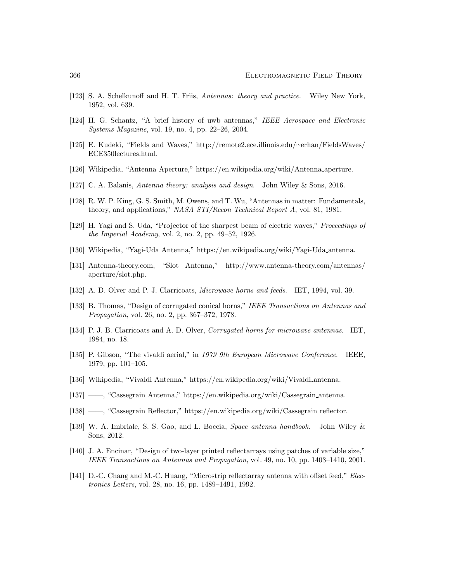- [123] S. A. Schelkunoff and H. T. Friis, Antennas: theory and practice. Wiley New York, 1952, vol. 639.
- [124] H. G. Schantz, "A brief history of uwb antennas," IEEE Aerospace and Electronic Systems Magazine, vol. 19, no. 4, pp. 22–26, 2004.
- [125] E. Kudeki, "Fields and Waves," http://remote2.ece.illinois.edu/∼erhan/FieldsWaves/ ECE350lectures.html.
- [126] Wikipedia, "Antenna Aperture," https://en.wikipedia.org/wiki/Antenna aperture.
- [127] C. A. Balanis, Antenna theory: analysis and design. John Wiley & Sons, 2016.
- [128] R. W. P. King, G. S. Smith, M. Owens, and T. Wu, "Antennas in matter: Fundamentals, theory, and applications," NASA STI/Recon Technical Report A, vol. 81, 1981.
- [129] H. Yagi and S. Uda, "Projector of the sharpest beam of electric waves," Proceedings of the Imperial Academy, vol. 2, no. 2, pp. 49–52, 1926.
- [130] Wikipedia, "Yagi-Uda Antenna," https://en.wikipedia.org/wiki/Yagi-Uda antenna.
- [131] Antenna-theory.com, "Slot Antenna," http://www.antenna-theory.com/antennas/ aperture/slot.php.
- [132] A. D. Olver and P. J. Clarricoats, Microwave horns and feeds. IET, 1994, vol. 39.
- [133] B. Thomas, "Design of corrugated conical horns," IEEE Transactions on Antennas and Propagation, vol. 26, no. 2, pp. 367–372, 1978.
- [134] P. J. B. Clarricoats and A. D. Olver, Corrugated horns for microwave antennas. IET, 1984, no. 18.
- [135] P. Gibson, "The vivaldi aerial," in 1979 9th European Microwave Conference. IEEE, 1979, pp. 101–105.
- [136] Wikipedia, "Vivaldi Antenna," https://en.wikipedia.org/wiki/Vivaldi antenna.
- [137] ——, "Cassegrain Antenna," https://en.wikipedia.org/wiki/Cassegrain antenna.
- [138] ——, "Cassegrain Reflector," https://en.wikipedia.org/wiki/Cassegrain reflector.
- [139] W. A. Imbriale, S. S. Gao, and L. Boccia, Space antenna handbook. John Wiley & Sons, 2012.
- [140] J. A. Encinar, "Design of two-layer printed reflectarrays using patches of variable size," IEEE Transactions on Antennas and Propagation, vol. 49, no. 10, pp. 1403–1410, 2001.
- [141] D.-C. Chang and M.-C. Huang, "Microstrip reflectarray antenna with offset feed," Electronics Letters, vol. 28, no. 16, pp. 1489–1491, 1992.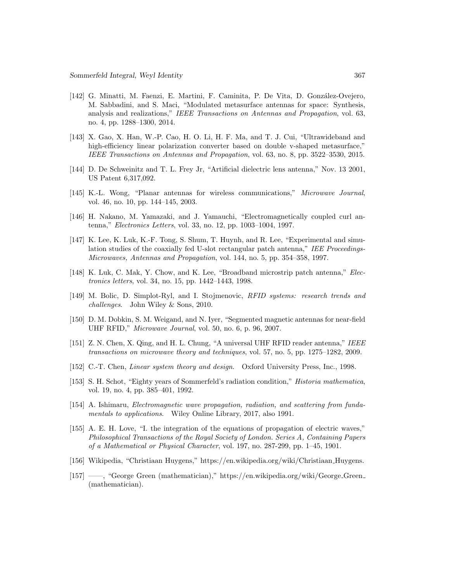- [142] G. Minatti, M. Faenzi, E. Martini, F. Caminita, P. De Vita, D. González-Ovejero, M. Sabbadini, and S. Maci, "Modulated metasurface antennas for space: Synthesis, analysis and realizations," IEEE Transactions on Antennas and Propagation, vol. 63, no. 4, pp. 1288–1300, 2014.
- [143] X. Gao, X. Han, W.-P. Cao, H. O. Li, H. F. Ma, and T. J. Cui, "Ultrawideband and high-efficiency linear polarization converter based on double v-shaped metasurface," IEEE Transactions on Antennas and Propagation, vol. 63, no. 8, pp. 3522–3530, 2015.
- [144] D. De Schweinitz and T. L. Frey Jr, "Artificial dielectric lens antenna," Nov. 13 2001, US Patent 6,317,092.
- [145] K.-L. Wong, "Planar antennas for wireless communications," Microwave Journal, vol. 46, no. 10, pp. 144–145, 2003.
- [146] H. Nakano, M. Yamazaki, and J. Yamauchi, "Electromagnetically coupled curl antenna," Electronics Letters, vol. 33, no. 12, pp. 1003–1004, 1997.
- [147] K. Lee, K. Luk, K.-F. Tong, S. Shum, T. Huynh, and R. Lee, "Experimental and simulation studies of the coaxially fed U-slot rectangular patch antenna," IEE Proceedings-Microwaves, Antennas and Propagation, vol. 144, no. 5, pp. 354–358, 1997.
- [148] K. Luk, C. Mak, Y. Chow, and K. Lee, "Broadband microstrip patch antenna," Electronics letters, vol. 34, no. 15, pp. 1442–1443, 1998.
- [149] M. Bolic, D. Simplot-Ryl, and I. Stojmenovic, RFID systems: research trends and challenges. John Wiley & Sons, 2010.
- [150] D. M. Dobkin, S. M. Weigand, and N. Iyer, "Segmented magnetic antennas for near-field UHF RFID," Microwave Journal, vol. 50, no. 6, p. 96, 2007.
- [151] Z. N. Chen, X. Qing, and H. L. Chung, "A universal UHF RFID reader antenna," IEEE transactions on microwave theory and techniques, vol. 57, no. 5, pp. 1275–1282, 2009.
- [152] C.-T. Chen, Linear system theory and design. Oxford University Press, Inc., 1998.
- [153] S. H. Schot, "Eighty years of Sommerfeld's radiation condition," Historia mathematica, vol. 19, no. 4, pp. 385–401, 1992.
- [154] A. Ishimaru, Electromagnetic wave propagation, radiation, and scattering from fundamentals to applications. Wiley Online Library, 2017, also 1991.
- [155] A. E. H. Love, "I. the integration of the equations of propagation of electric waves," Philosophical Transactions of the Royal Society of London. Series A, Containing Papers of a Mathematical or Physical Character, vol. 197, no. 287-299, pp. 1–45, 1901.
- [156] Wikipedia, "Christiaan Huygens," https://en.wikipedia.org/wiki/Christiaan Huygens.
- [157] ——, "George Green (mathematician)," https://en.wikipedia.org/wiki/George Green (mathematician).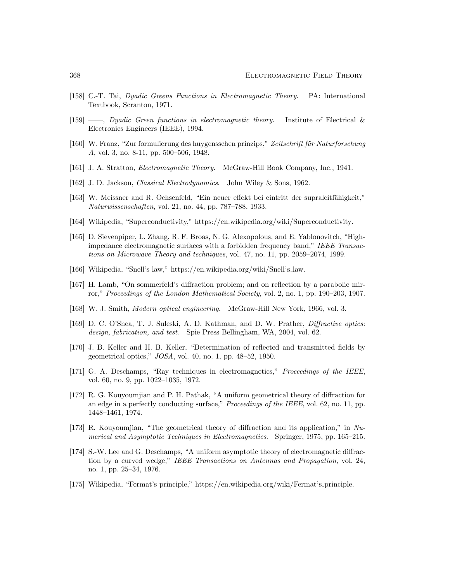- [158] C.-T. Tai, Dyadic Greens Functions in Electromagnetic Theory. PA: International Textbook, Scranton, 1971.
- [159] ——, Dyadic Green functions in electromagnetic theory. Institute of Electrical & Electronics Engineers (IEEE), 1994.
- [160] W. Franz, "Zur formulierung des huygensschen prinzips," Zeitschrift für Naturforschung A, vol. 3, no. 8-11, pp. 500–506, 1948.
- [161] J. A. Stratton, Electromagnetic Theory. McGraw-Hill Book Company, Inc., 1941.
- [162] J. D. Jackson, *Classical Electrodynamics*. John Wiley & Sons, 1962.
- [163] W. Meissner and R. Ochsenfeld, "Ein neuer effekt bei eintritt der supraleitfähigkeit," Naturwissenschaften, vol. 21, no. 44, pp. 787–788, 1933.
- [164] Wikipedia, "Superconductivity," https://en.wikipedia.org/wiki/Superconductivity.
- [165] D. Sievenpiper, L. Zhang, R. F. Broas, N. G. Alexopolous, and E. Yablonovitch, "Highimpedance electromagnetic surfaces with a forbidden frequency band," IEEE Transactions on Microwave Theory and techniques, vol. 47, no. 11, pp. 2059–2074, 1999.
- [166] Wikipedia, "Snell's law," https://en.wikipedia.org/wiki/Snell's law.
- [167] H. Lamb, "On sommerfeld's diffraction problem; and on reflection by a parabolic mirror," Proceedings of the London Mathematical Society, vol. 2, no. 1, pp. 190–203, 1907.
- [168] W. J. Smith, Modern optical engineering. McGraw-Hill New York, 1966, vol. 3.
- [169] D. C. O'Shea, T. J. Suleski, A. D. Kathman, and D. W. Prather, Diffractive optics: design, fabrication, and test. Spie Press Bellingham, WA, 2004, vol. 62.
- [170] J. B. Keller and H. B. Keller, "Determination of reflected and transmitted fields by geometrical optics," JOSA, vol. 40, no. 1, pp. 48–52, 1950.
- [171] G. A. Deschamps, "Ray techniques in electromagnetics," Proceedings of the IEEE, vol. 60, no. 9, pp. 1022–1035, 1972.
- [172] R. G. Kouyoumjian and P. H. Pathak, "A uniform geometrical theory of diffraction for an edge in a perfectly conducting surface," Proceedings of the IEEE, vol. 62, no. 11, pp. 1448–1461, 1974.
- [173] R. Kouyoumjian, "The geometrical theory of diffraction and its application," in Numerical and Asymptotic Techniques in Electromagnetics. Springer, 1975, pp. 165–215.
- [174] S.-W. Lee and G. Deschamps, "A uniform asymptotic theory of electromagnetic diffraction by a curved wedge," IEEE Transactions on Antennas and Propagation, vol. 24, no. 1, pp. 25–34, 1976.
- [175] Wikipedia, "Fermat's principle," https://en.wikipedia.org/wiki/Fermat's principle.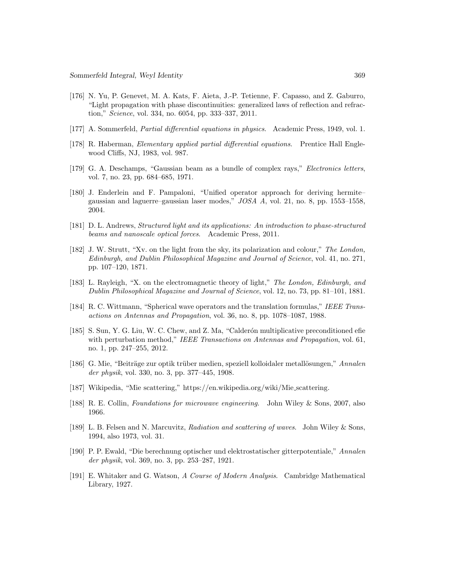- [176] N. Yu, P. Genevet, M. A. Kats, F. Aieta, J.-P. Tetienne, F. Capasso, and Z. Gaburro, "Light propagation with phase discontinuities: generalized laws of reflection and refraction," Science, vol. 334, no. 6054, pp. 333–337, 2011.
- [177] A. Sommerfeld, Partial differential equations in physics. Academic Press, 1949, vol. 1.
- [178] R. Haberman, Elementary applied partial differential equations. Prentice Hall Englewood Cliffs, NJ, 1983, vol. 987.
- [179] G. A. Deschamps, "Gaussian beam as a bundle of complex rays," Electronics letters, vol. 7, no. 23, pp. 684–685, 1971.
- [180] J. Enderlein and F. Pampaloni, "Unified operator approach for deriving hermite– gaussian and laguerre–gaussian laser modes," JOSA A, vol. 21, no. 8, pp. 1553–1558, 2004.
- [181] D. L. Andrews, Structured light and its applications: An introduction to phase-structured beams and nanoscale optical forces. Academic Press, 2011.
- [182] J. W. Strutt, "Xv. on the light from the sky, its polarization and colour," The London, Edinburgh, and Dublin Philosophical Magazine and Journal of Science, vol. 41, no. 271, pp. 107–120, 1871.
- [183] L. Rayleigh, "X. on the electromagnetic theory of light," The London, Edinburgh, and Dublin Philosophical Magazine and Journal of Science, vol. 12, no. 73, pp. 81–101, 1881.
- [184] R. C. Wittmann, "Spherical wave operators and the translation formulas," IEEE Transactions on Antennas and Propagation, vol. 36, no. 8, pp. 1078–1087, 1988.
- [185] S. Sun, Y. G. Liu, W. C. Chew, and Z. Ma, "Calderón multiplicative preconditioned efie with perturbation method," IEEE Transactions on Antennas and Propagation, vol. 61, no. 1, pp. 247–255, 2012.
- [186] G. Mie, "Beiträge zur optik trüber medien, speziell kolloidaler metallösungen," Annalen der physik, vol. 330, no. 3, pp. 377–445, 1908.
- [187] Wikipedia, "Mie scattering," https://en.wikipedia.org/wiki/Mie scattering.
- [188] R. E. Collin, Foundations for microwave engineering. John Wiley & Sons, 2007, also 1966.
- [189] L. B. Felsen and N. Marcuvitz, Radiation and scattering of waves. John Wiley & Sons, 1994, also 1973, vol. 31.
- [190] P. P. Ewald, "Die berechnung optischer und elektrostatischer gitterpotentiale," Annalen der physik, vol. 369, no. 3, pp. 253–287, 1921.
- [191] E. Whitaker and G. Watson, A Course of Modern Analysis. Cambridge Mathematical Library, 1927.